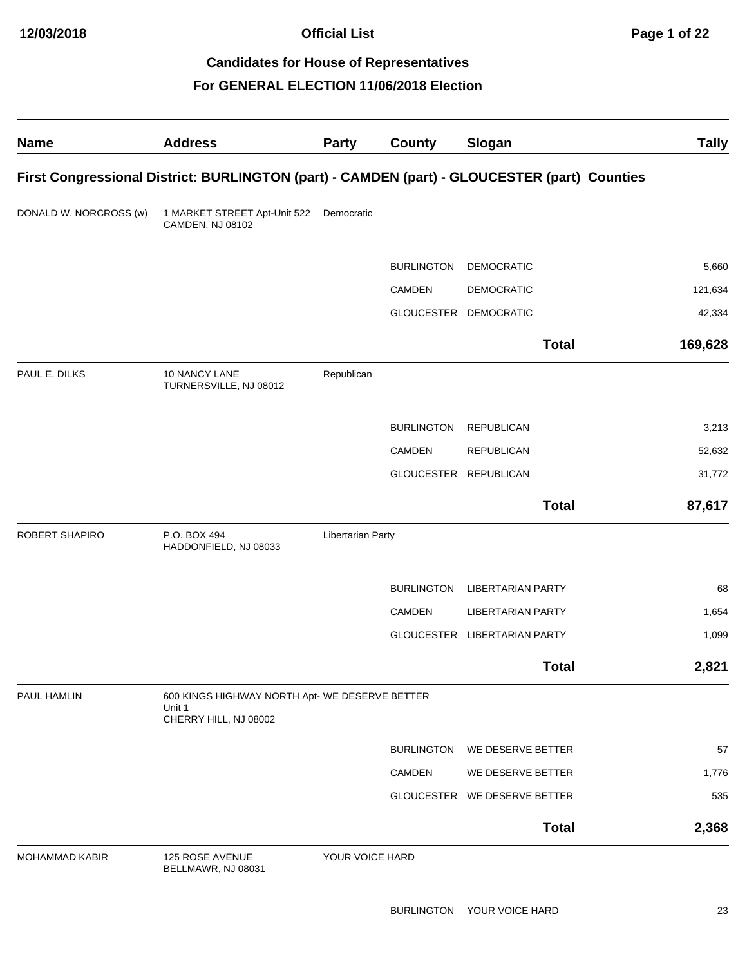#### **For GENERAL ELECTION 11/06/2018 Election**

| <b>Name</b>            | <b>Address</b>                                                                    | <b>Party</b>      | County                | Slogan                                                                                       | <b>Tally</b> |
|------------------------|-----------------------------------------------------------------------------------|-------------------|-----------------------|----------------------------------------------------------------------------------------------|--------------|
|                        |                                                                                   |                   |                       | First Congressional District: BURLINGTON (part) - CAMDEN (part) - GLOUCESTER (part) Counties |              |
| DONALD W. NORCROSS (w) | 1 MARKET STREET Apt-Unit 522<br>CAMDEN, NJ 08102                                  | Democratic        |                       |                                                                                              |              |
|                        |                                                                                   |                   | <b>BURLINGTON</b>     | <b>DEMOCRATIC</b>                                                                            | 5,660        |
|                        |                                                                                   |                   | CAMDEN                | <b>DEMOCRATIC</b>                                                                            | 121,634      |
|                        |                                                                                   |                   |                       | GLOUCESTER DEMOCRATIC                                                                        | 42,334       |
|                        |                                                                                   |                   |                       | <b>Total</b>                                                                                 | 169,628      |
| PAUL E. DILKS          | 10 NANCY LANE<br>TURNERSVILLE, NJ 08012                                           | Republican        |                       |                                                                                              |              |
|                        |                                                                                   |                   | <b>BURLINGTON</b>     | <b>REPUBLICAN</b>                                                                            | 3,213        |
|                        |                                                                                   |                   | <b>CAMDEN</b>         | <b>REPUBLICAN</b>                                                                            | 52,632       |
|                        |                                                                                   |                   | GLOUCESTER REPUBLICAN |                                                                                              | 31,772       |
|                        |                                                                                   |                   |                       | <b>Total</b>                                                                                 | 87,617       |
| <b>ROBERT SHAPIRO</b>  | P.O. BOX 494<br>HADDONFIELD, NJ 08033                                             | Libertarian Party |                       |                                                                                              |              |
|                        |                                                                                   |                   | <b>BURLINGTON</b>     | <b>LIBERTARIAN PARTY</b>                                                                     | 68           |
|                        |                                                                                   |                   | <b>CAMDEN</b>         | <b>LIBERTARIAN PARTY</b>                                                                     | 1,654        |
|                        |                                                                                   |                   |                       | GLOUCESTER LIBERTARIAN PARTY                                                                 | 1,099        |
|                        |                                                                                   |                   |                       | <b>Total</b>                                                                                 | 2,821        |
| PAUL HAMLIN            | 600 KINGS HIGHWAY NORTH Apt- WE DESERVE BETTER<br>Unit 1<br>CHERRY HILL, NJ 08002 |                   |                       |                                                                                              |              |
|                        |                                                                                   |                   |                       | BURLINGTON WE DESERVE BETTER                                                                 | 57           |
|                        |                                                                                   |                   | <b>CAMDEN</b>         | WE DESERVE BETTER                                                                            | 1,776        |
|                        |                                                                                   |                   |                       | GLOUCESTER WE DESERVE BETTER                                                                 | 535          |
|                        |                                                                                   |                   |                       | <b>Total</b>                                                                                 | 2,368        |
| <b>MOHAMMAD KABIR</b>  | 125 ROSE AVENUE<br>BELLMAWR, NJ 08031                                             | YOUR VOICE HARD   |                       |                                                                                              |              |

BURLINGTON YOUR VOICE HARD 23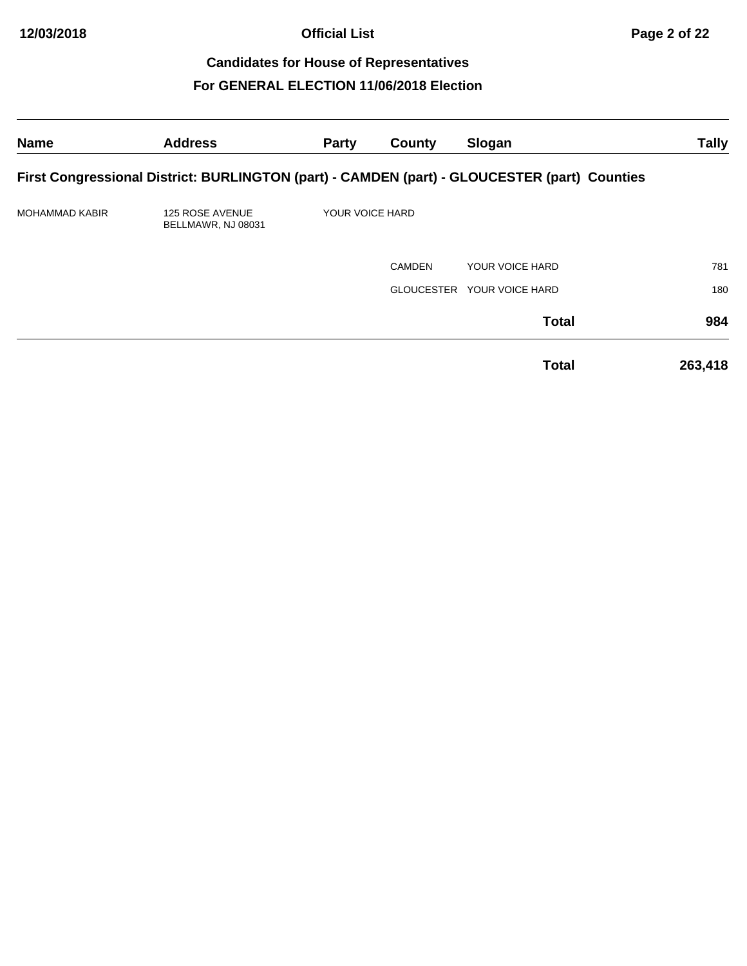| <b>Name</b>           | <b>Address</b>                               | Party           | County            | Slogan                                                                                       | <b>Tally</b> |
|-----------------------|----------------------------------------------|-----------------|-------------------|----------------------------------------------------------------------------------------------|--------------|
|                       |                                              |                 |                   | First Congressional District: BURLINGTON (part) - CAMDEN (part) - GLOUCESTER (part) Counties |              |
| <b>MOHAMMAD KABIR</b> | <b>125 ROSE AVENUE</b><br>BELLMAWR, NJ 08031 | YOUR VOICE HARD |                   |                                                                                              |              |
|                       |                                              |                 | <b>CAMDEN</b>     | YOUR VOICE HARD                                                                              | 781          |
|                       |                                              |                 | <b>GLOUCESTER</b> | YOUR VOICE HARD                                                                              | 180          |
|                       |                                              |                 |                   | <b>Total</b>                                                                                 | 984          |
|                       |                                              |                 |                   | <b>Total</b>                                                                                 | 263,418      |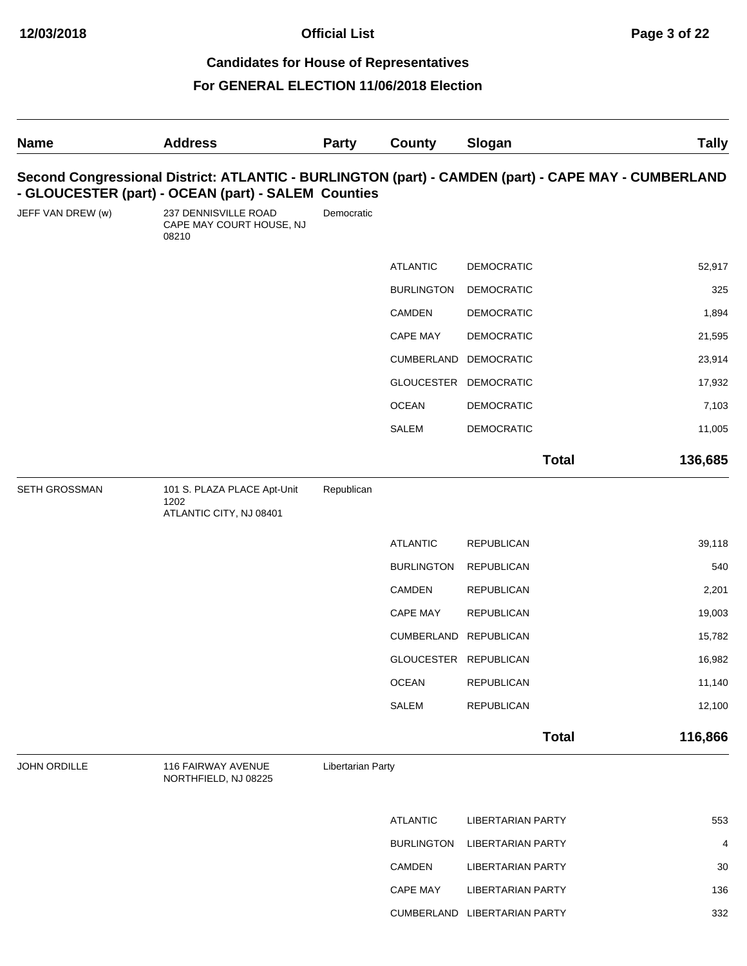| <b>Name</b>       | <b>Address</b>                                                 | <b>Party</b>      | <b>County</b>         | Slogan                       | <b>Tally</b>                                                                                        |
|-------------------|----------------------------------------------------------------|-------------------|-----------------------|------------------------------|-----------------------------------------------------------------------------------------------------|
|                   | - GLOUCESTER (part) - OCEAN (part) - SALEM Counties            |                   |                       |                              | Second Congressional District: ATLANTIC - BURLINGTON (part) - CAMDEN (part) - CAPE MAY - CUMBERLAND |
| JEFF VAN DREW (w) | 237 DENNISVILLE ROAD<br>CAPE MAY COURT HOUSE, NJ<br>08210      | Democratic        |                       |                              |                                                                                                     |
|                   |                                                                |                   | <b>ATLANTIC</b>       | <b>DEMOCRATIC</b>            | 52,917                                                                                              |
|                   |                                                                |                   | <b>BURLINGTON</b>     | <b>DEMOCRATIC</b>            | 325                                                                                                 |
|                   |                                                                |                   | CAMDEN                | <b>DEMOCRATIC</b>            | 1,894                                                                                               |
|                   |                                                                |                   | <b>CAPE MAY</b>       | <b>DEMOCRATIC</b>            | 21,595                                                                                              |
|                   |                                                                |                   | CUMBERLAND            | <b>DEMOCRATIC</b>            | 23,914                                                                                              |
|                   |                                                                |                   | GLOUCESTER DEMOCRATIC |                              | 17,932                                                                                              |
|                   |                                                                |                   | <b>OCEAN</b>          | <b>DEMOCRATIC</b>            | 7,103                                                                                               |
|                   |                                                                |                   | SALEM                 | <b>DEMOCRATIC</b>            | 11,005                                                                                              |
|                   |                                                                |                   |                       |                              | <b>Total</b><br>136,685                                                                             |
| SETH GROSSMAN     | 101 S. PLAZA PLACE Apt-Unit<br>1202<br>ATLANTIC CITY, NJ 08401 | Republican        |                       |                              |                                                                                                     |
|                   |                                                                |                   | <b>ATLANTIC</b>       | <b>REPUBLICAN</b>            | 39,118                                                                                              |
|                   |                                                                |                   | <b>BURLINGTON</b>     | <b>REPUBLICAN</b>            | 540                                                                                                 |
|                   |                                                                |                   | CAMDEN                | <b>REPUBLICAN</b>            | 2,201                                                                                               |
|                   |                                                                |                   | CAPE MAY              | <b>REPUBLICAN</b>            | 19,003                                                                                              |
|                   |                                                                |                   | CUMBERLAND REPUBLICAN |                              | 15,782                                                                                              |
|                   |                                                                |                   | GLOUCESTER REPUBLICAN |                              | 16,982                                                                                              |
|                   |                                                                |                   | <b>OCEAN</b>          | <b>REPUBLICAN</b>            | 11,140                                                                                              |
|                   |                                                                |                   | SALEM                 | <b>REPUBLICAN</b>            | 12,100                                                                                              |
|                   |                                                                |                   |                       |                              | 116,866<br><b>Total</b>                                                                             |
| JOHN ORDILLE      | 116 FAIRWAY AVENUE<br>NORTHFIELD, NJ 08225                     | Libertarian Party |                       |                              |                                                                                                     |
|                   |                                                                |                   | <b>ATLANTIC</b>       | <b>LIBERTARIAN PARTY</b>     | 553                                                                                                 |
|                   |                                                                |                   | <b>BURLINGTON</b>     | <b>LIBERTARIAN PARTY</b>     | 4                                                                                                   |
|                   |                                                                |                   | CAMDEN                | <b>LIBERTARIAN PARTY</b>     | 30                                                                                                  |
|                   |                                                                |                   | CAPE MAY              | <b>LIBERTARIAN PARTY</b>     | 136                                                                                                 |
|                   |                                                                |                   |                       | CUMBERLAND LIBERTARIAN PARTY | 332                                                                                                 |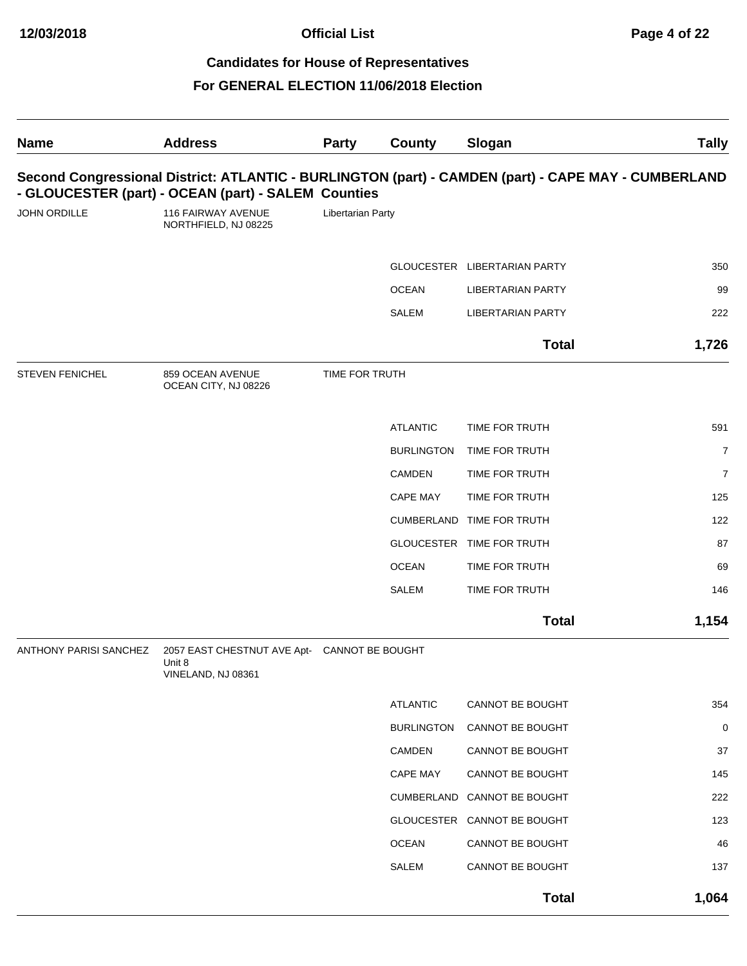**Official List Page 4 of 22**

# **Candidates for House of Representatives**

| <b>Name</b>            | <b>Address</b>                                                                                                                                             | <b>Party</b>      | County            | Slogan                       | <b>Tally</b>   |
|------------------------|------------------------------------------------------------------------------------------------------------------------------------------------------------|-------------------|-------------------|------------------------------|----------------|
|                        | Second Congressional District: ATLANTIC - BURLINGTON (part) - CAMDEN (part) - CAPE MAY - CUMBERLAND<br>- GLOUCESTER (part) - OCEAN (part) - SALEM Counties |                   |                   |                              |                |
| JOHN ORDILLE           | 116 FAIRWAY AVENUE<br>NORTHFIELD, NJ 08225                                                                                                                 | Libertarian Party |                   |                              |                |
|                        |                                                                                                                                                            |                   |                   | GLOUCESTER LIBERTARIAN PARTY | 350            |
|                        |                                                                                                                                                            |                   | <b>OCEAN</b>      | <b>LIBERTARIAN PARTY</b>     | 99             |
|                        |                                                                                                                                                            |                   | <b>SALEM</b>      | <b>LIBERTARIAN PARTY</b>     | 222            |
|                        |                                                                                                                                                            |                   |                   | <b>Total</b>                 | 1,726          |
| <b>STEVEN FENICHEL</b> | 859 OCEAN AVENUE<br>OCEAN CITY, NJ 08226                                                                                                                   | TIME FOR TRUTH    |                   |                              |                |
|                        |                                                                                                                                                            |                   | <b>ATLANTIC</b>   | TIME FOR TRUTH               | 591            |
|                        |                                                                                                                                                            |                   | <b>BURLINGTON</b> | TIME FOR TRUTH               | $\overline{7}$ |
|                        |                                                                                                                                                            |                   | <b>CAMDEN</b>     | TIME FOR TRUTH               | $\overline{7}$ |
|                        |                                                                                                                                                            |                   | CAPE MAY          | TIME FOR TRUTH               | 125            |
|                        |                                                                                                                                                            |                   |                   | CUMBERLAND TIME FOR TRUTH    | 122            |
|                        |                                                                                                                                                            |                   |                   | GLOUCESTER TIME FOR TRUTH    | 87             |
|                        |                                                                                                                                                            |                   | <b>OCEAN</b>      | TIME FOR TRUTH               | 69             |
|                        |                                                                                                                                                            |                   | SALEM             | TIME FOR TRUTH               | 146            |
|                        |                                                                                                                                                            |                   |                   | <b>Total</b>                 | 1,154          |
| ANTHONY PARISI SANCHEZ | 2057 EAST CHESTNUT AVE Apt- CANNOT BE BOUGHT<br>Unit 8<br>VINELAND, NJ 08361                                                                               |                   |                   |                              |                |
|                        |                                                                                                                                                            |                   | <b>ATLANTIC</b>   | CANNOT BE BOUGHT             | 354            |
|                        |                                                                                                                                                            |                   | <b>BURLINGTON</b> | CANNOT BE BOUGHT             | 0              |
|                        |                                                                                                                                                            |                   | CAMDEN            | CANNOT BE BOUGHT             | 37             |
|                        |                                                                                                                                                            |                   | CAPE MAY          | CANNOT BE BOUGHT             | 145            |
|                        |                                                                                                                                                            |                   |                   | CUMBERLAND CANNOT BE BOUGHT  | 222            |
|                        |                                                                                                                                                            |                   |                   | GLOUCESTER CANNOT BE BOUGHT  | 123            |
|                        |                                                                                                                                                            |                   | <b>OCEAN</b>      | CANNOT BE BOUGHT             | 46             |
|                        |                                                                                                                                                            |                   | SALEM             | CANNOT BE BOUGHT             | 137            |
|                        |                                                                                                                                                            |                   |                   | <b>Total</b>                 | 1,064          |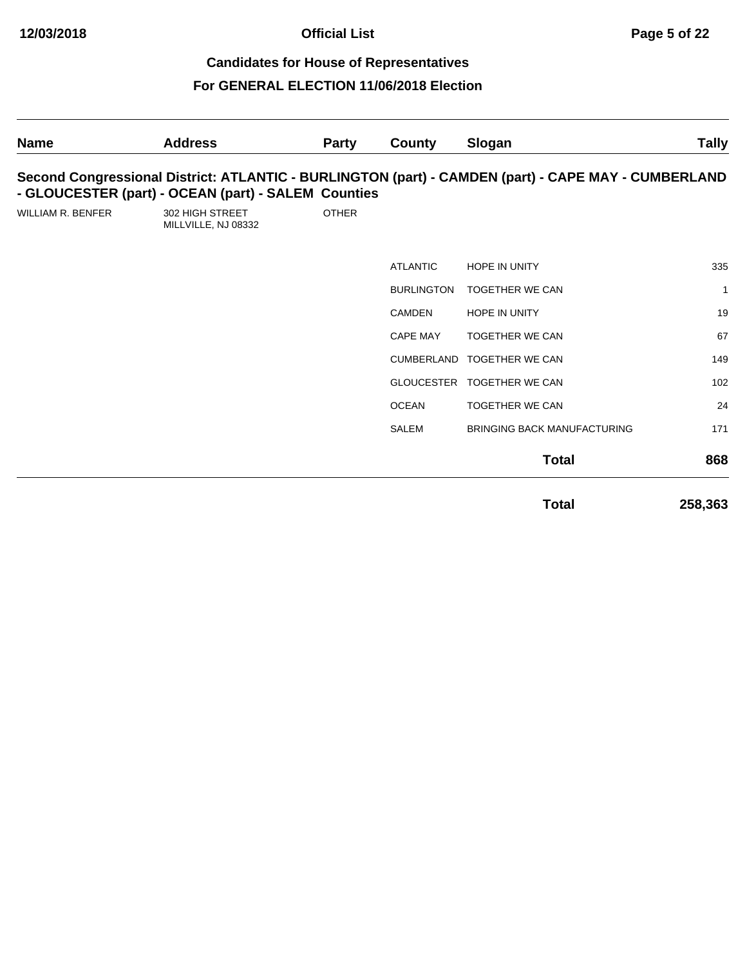| <b>Name</b>              | <b>Address</b>                                      | <b>Party</b> | County            | Slogan                                                                                              | <b>Tally</b> |
|--------------------------|-----------------------------------------------------|--------------|-------------------|-----------------------------------------------------------------------------------------------------|--------------|
|                          | - GLOUCESTER (part) - OCEAN (part) - SALEM Counties |              |                   | Second Congressional District: ATLANTIC - BURLINGTON (part) - CAMDEN (part) - CAPE MAY - CUMBERLAND |              |
| <b>WILLIAM R. BENFER</b> | 302 HIGH STREET<br>MILLVILLE, NJ 08332              | <b>OTHER</b> |                   |                                                                                                     |              |
|                          |                                                     |              | <b>ATLANTIC</b>   | <b>HOPE IN UNITY</b>                                                                                | 335          |
|                          |                                                     |              | <b>BURLINGTON</b> | <b>TOGETHER WE CAN</b>                                                                              | $\mathbf{1}$ |
|                          |                                                     |              | <b>CAMDEN</b>     | <b>HOPE IN UNITY</b>                                                                                | 19           |
|                          |                                                     |              | <b>CAPE MAY</b>   | <b>TOGETHER WE CAN</b>                                                                              | 67           |
|                          |                                                     |              | CUMBERLAND        | <b>TOGETHER WE CAN</b>                                                                              | 149          |
|                          |                                                     |              | <b>GLOUCESTER</b> | <b>TOGETHER WE CAN</b>                                                                              | 102          |
|                          |                                                     |              | <b>OCEAN</b>      | <b>TOGETHER WE CAN</b>                                                                              | 24           |
|                          |                                                     |              | <b>SALEM</b>      | <b>BRINGING BACK MANUFACTURING</b>                                                                  | 171          |
|                          |                                                     |              |                   | <b>Total</b>                                                                                        | 868          |
|                          |                                                     |              |                   | Total                                                                                               | 258,363      |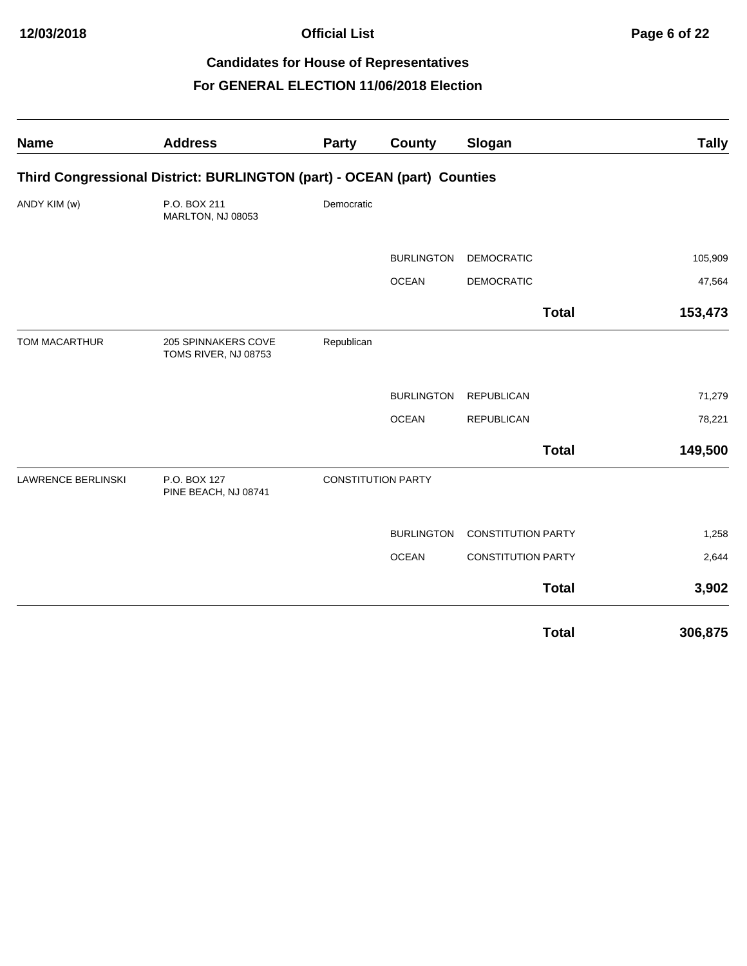| <b>Name</b>               | <b>Address</b>                                                          | <b>Party</b>              | County            | Slogan                    | <b>Tally</b> |
|---------------------------|-------------------------------------------------------------------------|---------------------------|-------------------|---------------------------|--------------|
|                           | Third Congressional District: BURLINGTON (part) - OCEAN (part) Counties |                           |                   |                           |              |
| ANDY KIM (w)              | P.O. BOX 211<br>MARLTON, NJ 08053                                       | Democratic                |                   |                           |              |
|                           |                                                                         |                           | <b>BURLINGTON</b> | <b>DEMOCRATIC</b>         | 105,909      |
|                           |                                                                         |                           | <b>OCEAN</b>      | <b>DEMOCRATIC</b>         | 47,564       |
|                           |                                                                         |                           |                   | <b>Total</b>              | 153,473      |
| TOM MACARTHUR             | 205 SPINNAKERS COVE<br>TOMS RIVER, NJ 08753                             | Republican                |                   |                           |              |
|                           |                                                                         |                           | <b>BURLINGTON</b> | <b>REPUBLICAN</b>         | 71,279       |
|                           |                                                                         |                           | <b>OCEAN</b>      | <b>REPUBLICAN</b>         | 78,221       |
|                           |                                                                         |                           |                   | <b>Total</b>              | 149,500      |
| <b>LAWRENCE BERLINSKI</b> | P.O. BOX 127<br>PINE BEACH, NJ 08741                                    | <b>CONSTITUTION PARTY</b> |                   |                           |              |
|                           |                                                                         |                           | <b>BURLINGTON</b> | <b>CONSTITUTION PARTY</b> | 1,258        |
|                           |                                                                         |                           | <b>OCEAN</b>      | <b>CONSTITUTION PARTY</b> | 2,644        |
|                           |                                                                         |                           |                   | <b>Total</b>              | 3,902        |
|                           |                                                                         |                           |                   | <b>Total</b>              | 306,875      |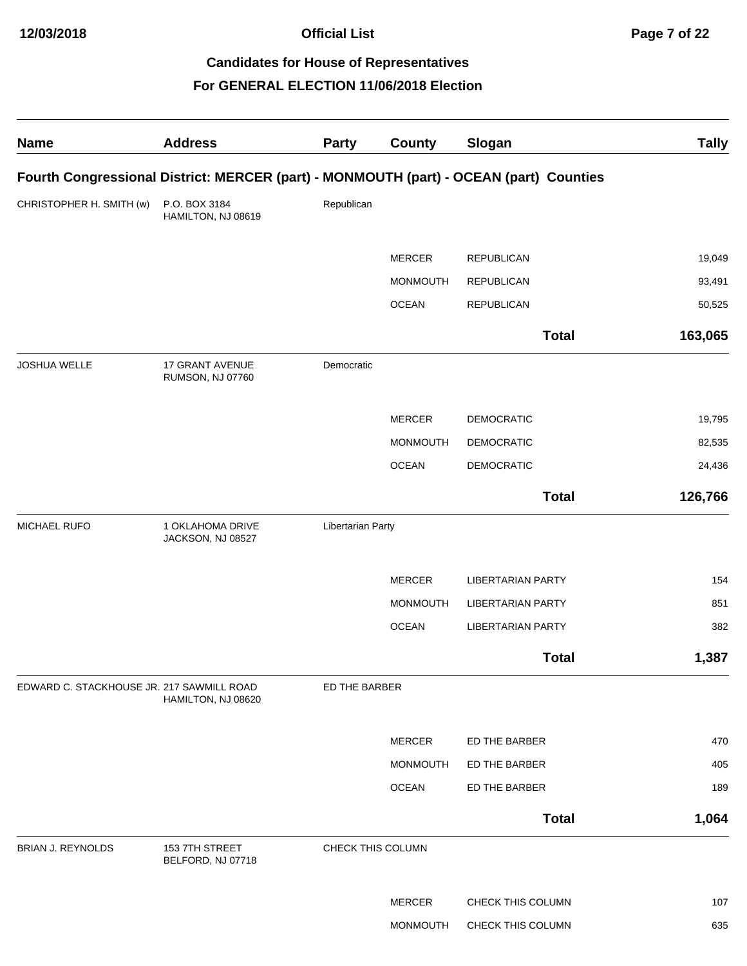**Official List Page 7 of 22**

# **Candidates for House of Representatives**

| <b>Name</b>                               | <b>Address</b>                                                                         | Party             | <b>County</b>   | Slogan                   | <b>Tally</b> |
|-------------------------------------------|----------------------------------------------------------------------------------------|-------------------|-----------------|--------------------------|--------------|
|                                           | Fourth Congressional District: MERCER (part) - MONMOUTH (part) - OCEAN (part) Counties |                   |                 |                          |              |
| CHRISTOPHER H. SMITH (w)                  | P.O. BOX 3184<br>HAMILTON, NJ 08619                                                    | Republican        |                 |                          |              |
|                                           |                                                                                        |                   | <b>MERCER</b>   | <b>REPUBLICAN</b>        | 19,049       |
|                                           |                                                                                        |                   | <b>MONMOUTH</b> | <b>REPUBLICAN</b>        | 93,491       |
|                                           |                                                                                        |                   | <b>OCEAN</b>    | <b>REPUBLICAN</b>        | 50,525       |
|                                           |                                                                                        |                   |                 | <b>Total</b>             | 163,065      |
| JOSHUA WELLE                              | 17 GRANT AVENUE<br>RUMSON, NJ 07760                                                    | Democratic        |                 |                          |              |
|                                           |                                                                                        |                   | <b>MERCER</b>   | <b>DEMOCRATIC</b>        | 19,795       |
|                                           |                                                                                        |                   | <b>MONMOUTH</b> | <b>DEMOCRATIC</b>        | 82,535       |
|                                           |                                                                                        |                   | <b>OCEAN</b>    | <b>DEMOCRATIC</b>        | 24,436       |
|                                           |                                                                                        |                   |                 | <b>Total</b>             | 126,766      |
| MICHAEL RUFO                              | 1 OKLAHOMA DRIVE<br>JACKSON, NJ 08527                                                  | Libertarian Party |                 |                          |              |
|                                           |                                                                                        |                   | <b>MERCER</b>   | <b>LIBERTARIAN PARTY</b> | 154          |
|                                           |                                                                                        |                   | <b>MONMOUTH</b> | <b>LIBERTARIAN PARTY</b> | 851          |
|                                           |                                                                                        |                   | <b>OCEAN</b>    | <b>LIBERTARIAN PARTY</b> | 382          |
|                                           |                                                                                        |                   |                 | <b>Total</b>             | 1,387        |
| EDWARD C. STACKHOUSE JR. 217 SAWMILL ROAD | HAMILTON, NJ 08620                                                                     | ED THE BARBER     |                 |                          |              |
|                                           |                                                                                        |                   | <b>MERCER</b>   | ED THE BARBER            | 470          |
|                                           |                                                                                        |                   | <b>MONMOUTH</b> | ED THE BARBER            | 405          |
|                                           |                                                                                        |                   | <b>OCEAN</b>    | ED THE BARBER            | 189          |
|                                           |                                                                                        |                   |                 | <b>Total</b>             | 1,064        |
| BRIAN J. REYNOLDS                         | 153 7TH STREET<br>BELFORD, NJ 07718                                                    | CHECK THIS COLUMN |                 |                          |              |
|                                           |                                                                                        |                   | <b>MERCER</b>   | CHECK THIS COLUMN        | 107          |
|                                           |                                                                                        |                   | MONMOUTH        | CHECK THIS COLUMN        | 635          |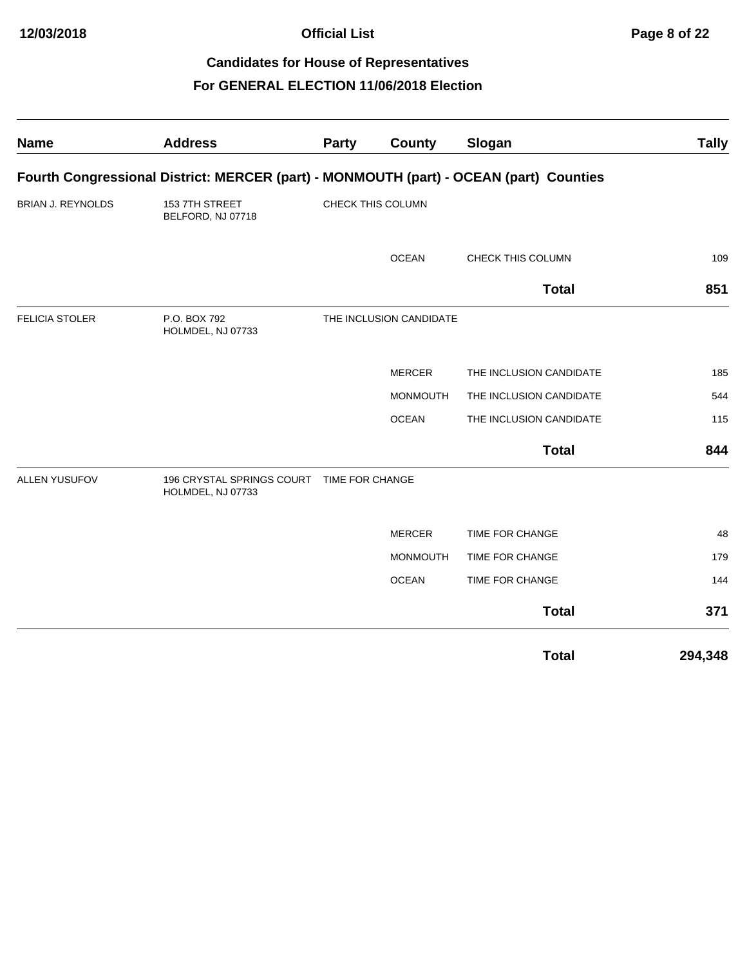| <b>Name</b>              | <b>Address</b>                                                                         | Party           | <b>County</b>           | Slogan                  | <b>Tally</b> |
|--------------------------|----------------------------------------------------------------------------------------|-----------------|-------------------------|-------------------------|--------------|
|                          | Fourth Congressional District: MERCER (part) - MONMOUTH (part) - OCEAN (part) Counties |                 |                         |                         |              |
| <b>BRIAN J. REYNOLDS</b> | 1537TH STREET<br>BELFORD, NJ 07718                                                     |                 | CHECK THIS COLUMN       |                         |              |
|                          |                                                                                        |                 | <b>OCEAN</b>            | CHECK THIS COLUMN       | 109          |
|                          |                                                                                        |                 |                         | <b>Total</b>            | 851          |
| <b>FELICIA STOLER</b>    | P.O. BOX 792<br>HOLMDEL, NJ 07733                                                      |                 | THE INCLUSION CANDIDATE |                         |              |
|                          |                                                                                        |                 | <b>MERCER</b>           | THE INCLUSION CANDIDATE | 185          |
|                          |                                                                                        |                 | <b>MONMOUTH</b>         | THE INCLUSION CANDIDATE | 544          |
|                          |                                                                                        |                 | <b>OCEAN</b>            | THE INCLUSION CANDIDATE | 115          |
|                          |                                                                                        |                 |                         | <b>Total</b>            | 844          |
| <b>ALLEN YUSUFOV</b>     | 196 CRYSTAL SPRINGS COURT<br>HOLMDEL, NJ 07733                                         | TIME FOR CHANGE |                         |                         |              |
|                          |                                                                                        |                 | <b>MERCER</b>           | TIME FOR CHANGE         | 48           |
|                          |                                                                                        |                 | <b>MONMOUTH</b>         | TIME FOR CHANGE         | 179          |
|                          |                                                                                        |                 | <b>OCEAN</b>            | TIME FOR CHANGE         | 144          |
|                          |                                                                                        |                 |                         | <b>Total</b>            | 371          |
|                          |                                                                                        |                 |                         | <b>Total</b>            | 294,348      |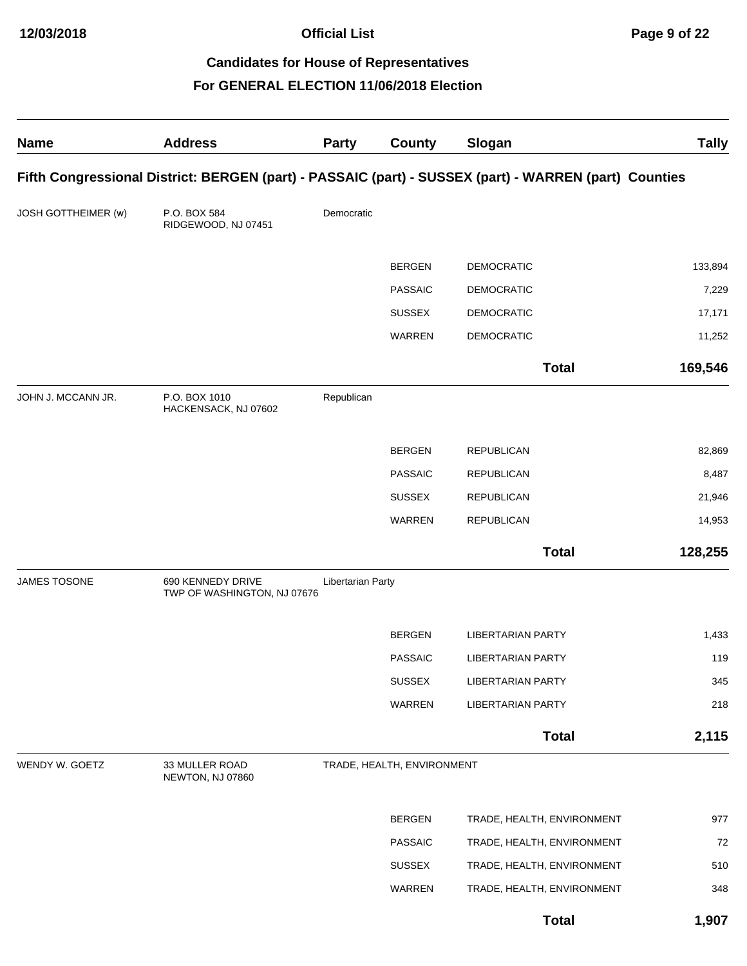**Official List Page 9 of 22**

# **Candidates for House of Representatives**

| <b>Name</b>                | <b>Address</b>                                   | <b>Party</b>      | <b>County</b>              | Slogan                                                                                                | <b>Tally</b> |
|----------------------------|--------------------------------------------------|-------------------|----------------------------|-------------------------------------------------------------------------------------------------------|--------------|
|                            |                                                  |                   |                            | Fifth Congressional District: BERGEN (part) - PASSAIC (part) - SUSSEX (part) - WARREN (part) Counties |              |
| <b>JOSH GOTTHEIMER (w)</b> | P.O. BOX 584<br>RIDGEWOOD, NJ 07451              | Democratic        |                            |                                                                                                       |              |
|                            |                                                  |                   | <b>BERGEN</b>              | <b>DEMOCRATIC</b>                                                                                     | 133,894      |
|                            |                                                  |                   | <b>PASSAIC</b>             | <b>DEMOCRATIC</b>                                                                                     | 7,229        |
|                            |                                                  |                   | <b>SUSSEX</b>              | <b>DEMOCRATIC</b>                                                                                     | 17,171       |
|                            |                                                  |                   | <b>WARREN</b>              | <b>DEMOCRATIC</b>                                                                                     | 11,252       |
|                            |                                                  |                   |                            | <b>Total</b>                                                                                          | 169,546      |
| JOHN J. MCCANN JR.         | P.O. BOX 1010<br>HACKENSACK, NJ 07602            | Republican        |                            |                                                                                                       |              |
|                            |                                                  |                   | <b>BERGEN</b>              | <b>REPUBLICAN</b>                                                                                     | 82,869       |
|                            |                                                  |                   | <b>PASSAIC</b>             | <b>REPUBLICAN</b>                                                                                     | 8,487        |
|                            |                                                  |                   | <b>SUSSEX</b>              | <b>REPUBLICAN</b>                                                                                     | 21,946       |
|                            |                                                  |                   | WARREN                     | <b>REPUBLICAN</b>                                                                                     | 14,953       |
|                            |                                                  |                   |                            | <b>Total</b>                                                                                          | 128,255      |
| <b>JAMES TOSONE</b>        | 690 KENNEDY DRIVE<br>TWP OF WASHINGTON, NJ 07676 | Libertarian Party |                            |                                                                                                       |              |
|                            |                                                  |                   | <b>BERGEN</b>              | <b>LIBERTARIAN PARTY</b>                                                                              | 1,433        |
|                            |                                                  |                   | <b>PASSAIC</b>             | <b>LIBERTARIAN PARTY</b>                                                                              | 119          |
|                            |                                                  |                   | <b>SUSSEX</b>              | <b>LIBERTARIAN PARTY</b>                                                                              | 345          |
|                            |                                                  |                   | WARREN                     | <b>LIBERTARIAN PARTY</b>                                                                              | 218          |
|                            |                                                  |                   |                            | <b>Total</b>                                                                                          | 2,115        |
| WENDY W. GOETZ             | 33 MULLER ROAD<br>NEWTON, NJ 07860               |                   | TRADE, HEALTH, ENVIRONMENT |                                                                                                       |              |
|                            |                                                  |                   | <b>BERGEN</b>              | TRADE, HEALTH, ENVIRONMENT                                                                            | 977          |
|                            |                                                  |                   | <b>PASSAIC</b>             | TRADE, HEALTH, ENVIRONMENT                                                                            | 72           |
|                            |                                                  |                   | <b>SUSSEX</b>              | TRADE, HEALTH, ENVIRONMENT                                                                            | 510          |
|                            |                                                  |                   | WARREN                     | TRADE, HEALTH, ENVIRONMENT                                                                            | 348          |
|                            |                                                  |                   |                            | <b>Total</b>                                                                                          | 1,907        |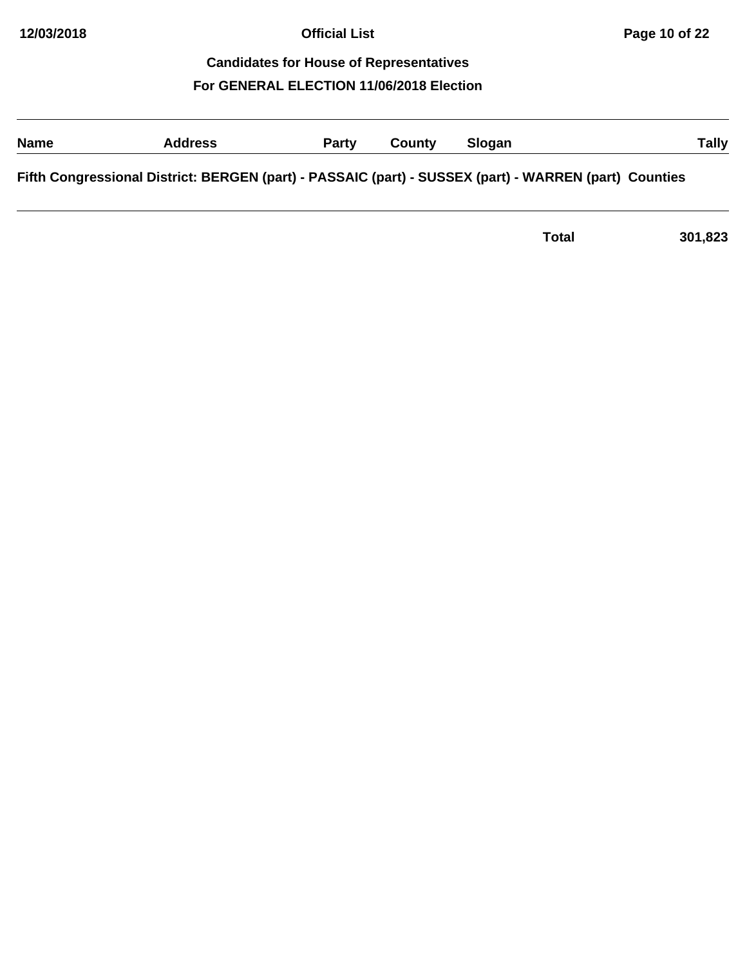# **Name Address Party County Slogan Tally Fifth Congressional District: BERGEN (part) - PASSAIC (part) - SUSSEX (part) - WARREN (part) Counties**

**Total 301,823**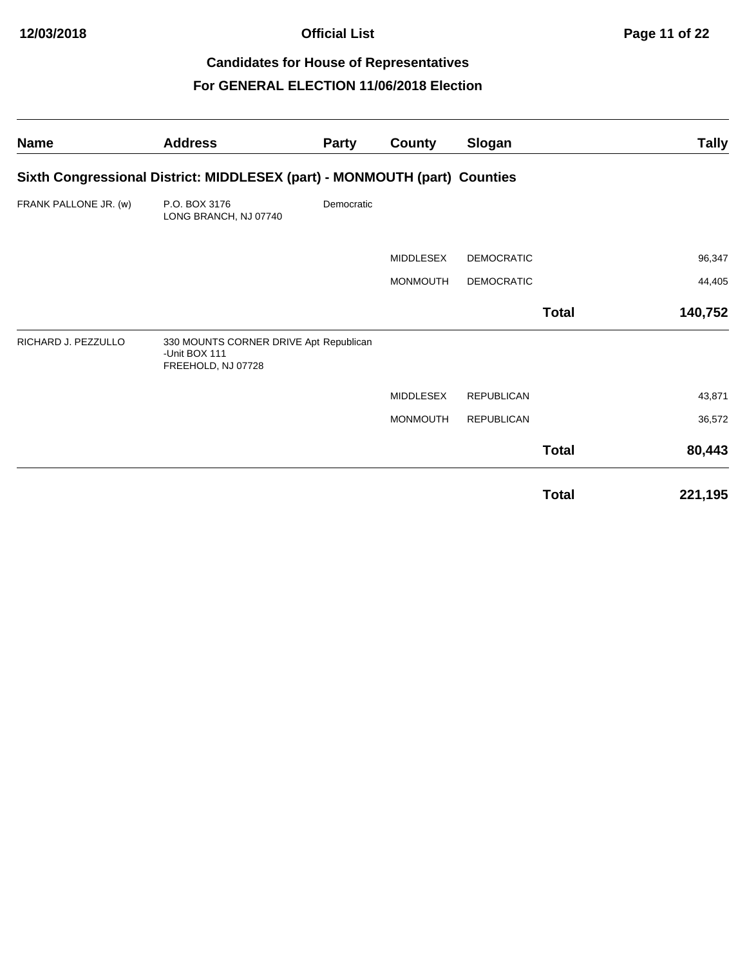| <b>Name</b>           | <b>Address</b>                                                                | Party      | County           | Slogan            |              | <b>Tally</b> |
|-----------------------|-------------------------------------------------------------------------------|------------|------------------|-------------------|--------------|--------------|
|                       | Sixth Congressional District: MIDDLESEX (part) - MONMOUTH (part) Counties     |            |                  |                   |              |              |
| FRANK PALLONE JR. (w) | P.O. BOX 3176<br>LONG BRANCH, NJ 07740                                        | Democratic |                  |                   |              |              |
|                       |                                                                               |            | <b>MIDDLESEX</b> | <b>DEMOCRATIC</b> |              | 96,347       |
|                       |                                                                               |            | <b>MONMOUTH</b>  | <b>DEMOCRATIC</b> |              | 44,405       |
|                       |                                                                               |            |                  |                   | <b>Total</b> | 140,752      |
| RICHARD J. PEZZULLO   | 330 MOUNTS CORNER DRIVE Apt Republican<br>-Unit BOX 111<br>FREEHOLD, NJ 07728 |            |                  |                   |              |              |
|                       |                                                                               |            | <b>MIDDLESEX</b> | <b>REPUBLICAN</b> |              | 43,871       |
|                       |                                                                               |            | <b>MONMOUTH</b>  | <b>REPUBLICAN</b> |              | 36,572       |
|                       |                                                                               |            |                  |                   | <b>Total</b> | 80,443       |
|                       |                                                                               |            |                  |                   | <b>Total</b> | 221,195      |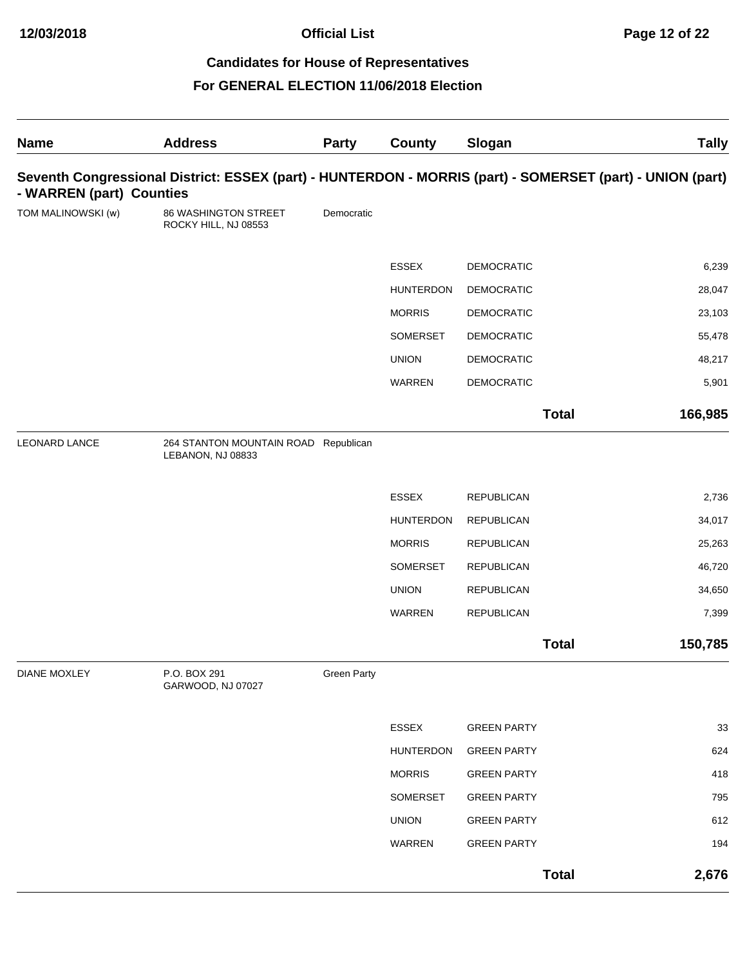| <b>Name</b>              | <b>Address</b>                                                                                            | <b>Party</b>       | <b>County</b>    | Slogan             |              | <b>Tally</b> |
|--------------------------|-----------------------------------------------------------------------------------------------------------|--------------------|------------------|--------------------|--------------|--------------|
| - WARREN (part) Counties | Seventh Congressional District: ESSEX (part) - HUNTERDON - MORRIS (part) - SOMERSET (part) - UNION (part) |                    |                  |                    |              |              |
| TOM MALINOWSKI (w)       | 86 WASHINGTON STREET<br>ROCKY HILL, NJ 08553                                                              | Democratic         |                  |                    |              |              |
|                          |                                                                                                           |                    | <b>ESSEX</b>     | <b>DEMOCRATIC</b>  |              | 6,239        |
|                          |                                                                                                           |                    | <b>HUNTERDON</b> | <b>DEMOCRATIC</b>  |              | 28,047       |
|                          |                                                                                                           |                    | <b>MORRIS</b>    | DEMOCRATIC         |              | 23,103       |
|                          |                                                                                                           |                    | SOMERSET         | <b>DEMOCRATIC</b>  |              | 55,478       |
|                          |                                                                                                           |                    | <b>UNION</b>     | <b>DEMOCRATIC</b>  |              | 48,217       |
|                          |                                                                                                           |                    | WARREN           | <b>DEMOCRATIC</b>  |              | 5,901        |
|                          |                                                                                                           |                    |                  |                    | <b>Total</b> | 166,985      |
| <b>LEONARD LANCE</b>     | 264 STANTON MOUNTAIN ROAD Republican<br>LEBANON, NJ 08833                                                 |                    |                  |                    |              |              |
|                          |                                                                                                           |                    | <b>ESSEX</b>     | <b>REPUBLICAN</b>  |              | 2,736        |
|                          |                                                                                                           |                    | <b>HUNTERDON</b> | <b>REPUBLICAN</b>  |              | 34,017       |
|                          |                                                                                                           |                    | <b>MORRIS</b>    | <b>REPUBLICAN</b>  |              | 25,263       |
|                          |                                                                                                           |                    | SOMERSET         | <b>REPUBLICAN</b>  |              | 46,720       |
|                          |                                                                                                           |                    | <b>UNION</b>     | <b>REPUBLICAN</b>  |              | 34,650       |
|                          |                                                                                                           |                    | WARREN           | <b>REPUBLICAN</b>  |              | 7,399        |
|                          |                                                                                                           |                    |                  |                    | <b>Total</b> | 150,785      |
| <b>DIANE MOXLEY</b>      | P.O. BOX 291<br>GARWOOD, NJ 07027                                                                         | <b>Green Party</b> |                  |                    |              |              |
|                          |                                                                                                           |                    | ESSEX            | <b>GREEN PARTY</b> |              | 33           |
|                          |                                                                                                           |                    | <b>HUNTERDON</b> | <b>GREEN PARTY</b> |              | 624          |
|                          |                                                                                                           |                    | <b>MORRIS</b>    | <b>GREEN PARTY</b> |              | 418          |
|                          |                                                                                                           |                    | SOMERSET         | <b>GREEN PARTY</b> |              | 795          |
|                          |                                                                                                           |                    | <b>UNION</b>     | <b>GREEN PARTY</b> |              | 612          |
|                          |                                                                                                           |                    | WARREN           | <b>GREEN PARTY</b> |              | 194          |
|                          |                                                                                                           |                    |                  |                    | <b>Total</b> | 2,676        |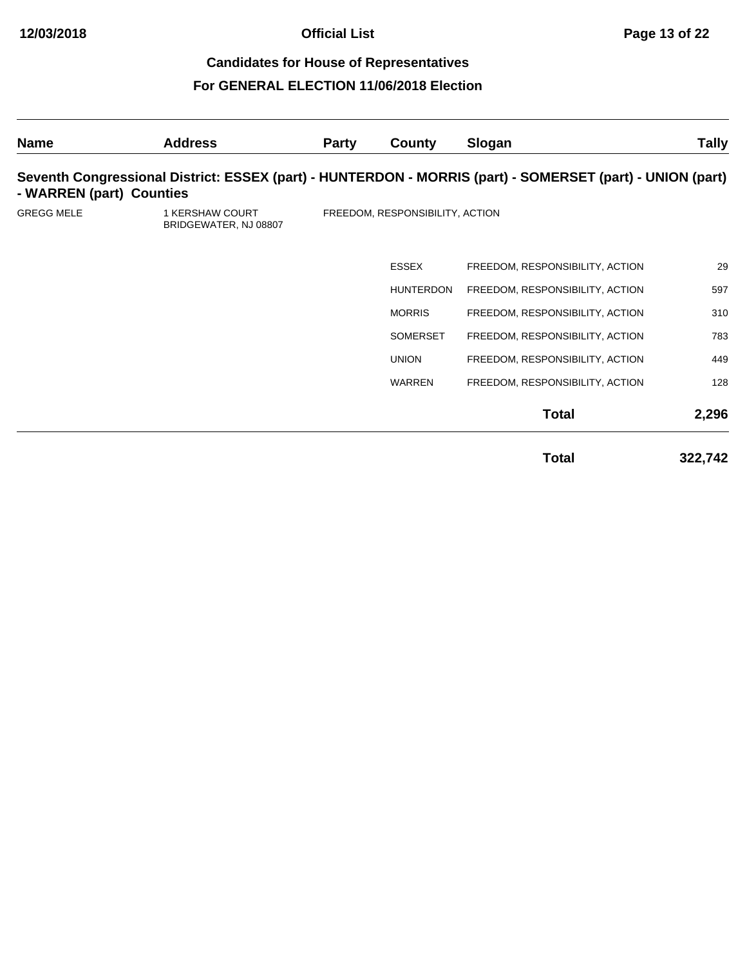| <b>Name</b>              | <b>Address</b>                                  | <b>Party</b> | County                          | Slogan                                                                                                    | <b>Tally</b> |
|--------------------------|-------------------------------------------------|--------------|---------------------------------|-----------------------------------------------------------------------------------------------------------|--------------|
| - WARREN (part) Counties |                                                 |              |                                 | Seventh Congressional District: ESSEX (part) - HUNTERDON - MORRIS (part) - SOMERSET (part) - UNION (part) |              |
| <b>GREGG MELE</b>        | <b>1 KERSHAW COURT</b><br>BRIDGEWATER, NJ 08807 |              | FREEDOM, RESPONSIBILITY, ACTION |                                                                                                           |              |
|                          |                                                 |              | <b>ESSEX</b>                    | FREEDOM, RESPONSIBILITY, ACTION                                                                           | 29           |
|                          |                                                 |              | <b>HUNTERDON</b>                | FREEDOM, RESPONSIBILITY, ACTION                                                                           | 597          |
|                          |                                                 |              | <b>MORRIS</b>                   | FREEDOM, RESPONSIBILITY, ACTION                                                                           | 310          |
|                          |                                                 |              | <b>SOMERSET</b>                 | FREEDOM, RESPONSIBILITY, ACTION                                                                           | 783          |
|                          |                                                 |              | <b>UNION</b>                    | FREEDOM, RESPONSIBILITY, ACTION                                                                           | 449          |
|                          |                                                 |              | <b>WARREN</b>                   | FREEDOM, RESPONSIBILITY, ACTION                                                                           | 128          |
|                          |                                                 |              |                                 | <b>Total</b>                                                                                              | 2,296        |
|                          |                                                 |              |                                 | <b>Total</b>                                                                                              | 322,742      |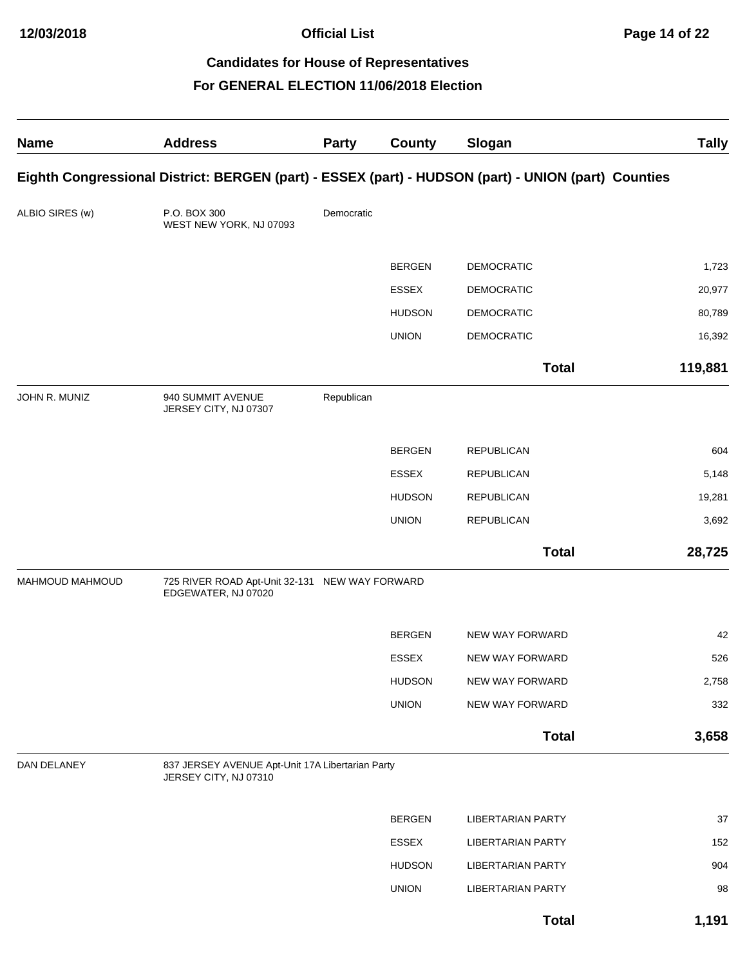| <b>Name</b>     | <b>Address</b>                                                                                      | <b>Party</b> | County        | Slogan                   | <b>Tally</b> |
|-----------------|-----------------------------------------------------------------------------------------------------|--------------|---------------|--------------------------|--------------|
|                 | Eighth Congressional District: BERGEN (part) - ESSEX (part) - HUDSON (part) - UNION (part) Counties |              |               |                          |              |
| ALBIO SIRES (w) | P.O. BOX 300<br>WEST NEW YORK, NJ 07093                                                             | Democratic   |               |                          |              |
|                 |                                                                                                     |              | <b>BERGEN</b> | <b>DEMOCRATIC</b>        | 1,723        |
|                 |                                                                                                     |              | <b>ESSEX</b>  | <b>DEMOCRATIC</b>        | 20,977       |
|                 |                                                                                                     |              | <b>HUDSON</b> | <b>DEMOCRATIC</b>        | 80,789       |
|                 |                                                                                                     |              | <b>UNION</b>  | <b>DEMOCRATIC</b>        | 16,392       |
|                 |                                                                                                     |              |               | <b>Total</b>             | 119,881      |
| JOHN R. MUNIZ   | 940 SUMMIT AVENUE<br>JERSEY CITY, NJ 07307                                                          | Republican   |               |                          |              |
|                 |                                                                                                     |              | <b>BERGEN</b> | <b>REPUBLICAN</b>        | 604          |
|                 |                                                                                                     |              | <b>ESSEX</b>  | <b>REPUBLICAN</b>        | 5,148        |
|                 |                                                                                                     |              | <b>HUDSON</b> | <b>REPUBLICAN</b>        | 19,281       |
|                 |                                                                                                     |              | <b>UNION</b>  | <b>REPUBLICAN</b>        | 3,692        |
|                 |                                                                                                     |              |               | <b>Total</b>             | 28,725       |
| MAHMOUD MAHMOUD | 725 RIVER ROAD Apt-Unit 32-131 NEW WAY FORWARD<br>EDGEWATER, NJ 07020                               |              |               |                          |              |
|                 |                                                                                                     |              | <b>BERGEN</b> | NEW WAY FORWARD          | 42           |
|                 |                                                                                                     |              | <b>ESSEX</b>  | NEW WAY FORWARD          | 526          |
|                 |                                                                                                     |              | <b>HUDSON</b> | NEW WAY FORWARD          | 2,758        |
|                 |                                                                                                     |              | <b>UNION</b>  | NEW WAY FORWARD          | 332          |
|                 |                                                                                                     |              |               | <b>Total</b>             | 3,658        |
| DAN DELANEY     | 837 JERSEY AVENUE Apt-Unit 17A Libertarian Party<br>JERSEY CITY, NJ 07310                           |              |               |                          |              |
|                 |                                                                                                     |              | <b>BERGEN</b> | <b>LIBERTARIAN PARTY</b> | 37           |
|                 |                                                                                                     |              | ESSEX         | <b>LIBERTARIAN PARTY</b> | 152          |
|                 |                                                                                                     |              | <b>HUDSON</b> | <b>LIBERTARIAN PARTY</b> | 904          |
|                 |                                                                                                     |              | <b>UNION</b>  | <b>LIBERTARIAN PARTY</b> | 98           |
|                 |                                                                                                     |              |               | <b>Total</b>             | 1,191        |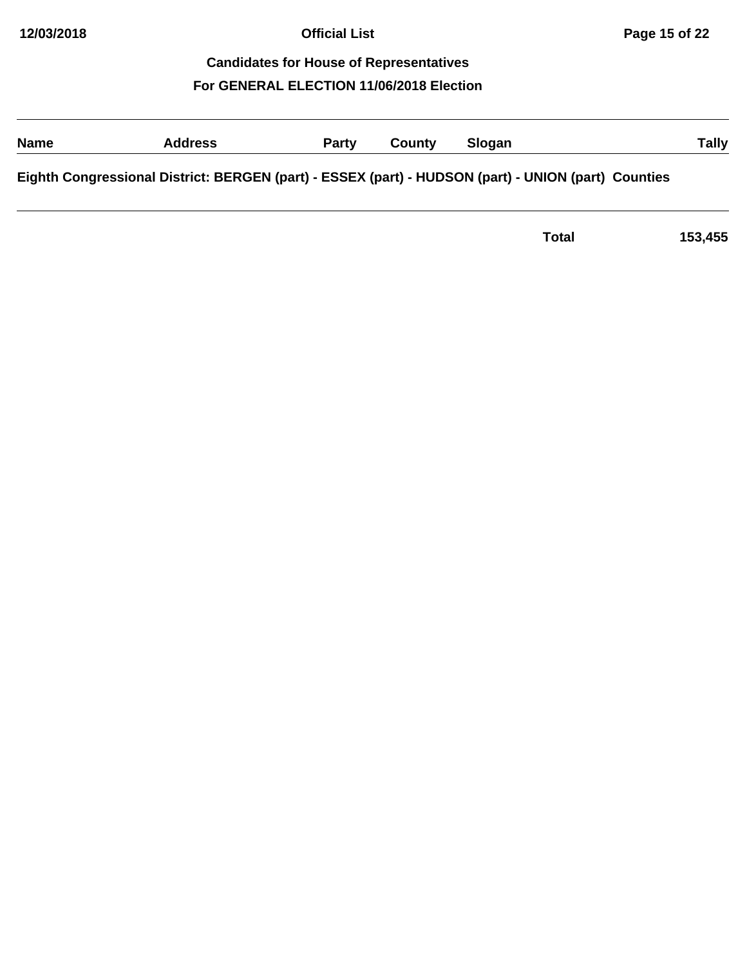| <b>Name</b> | <b>Address</b>                                                                                      | <b>Party</b> | County | Slogan | Tally |
|-------------|-----------------------------------------------------------------------------------------------------|--------------|--------|--------|-------|
|             | Eighth Congressional District: BERGEN (part) - ESSEX (part) - HUDSON (part) - UNION (part) Counties |              |        |        |       |

**Total 153,455**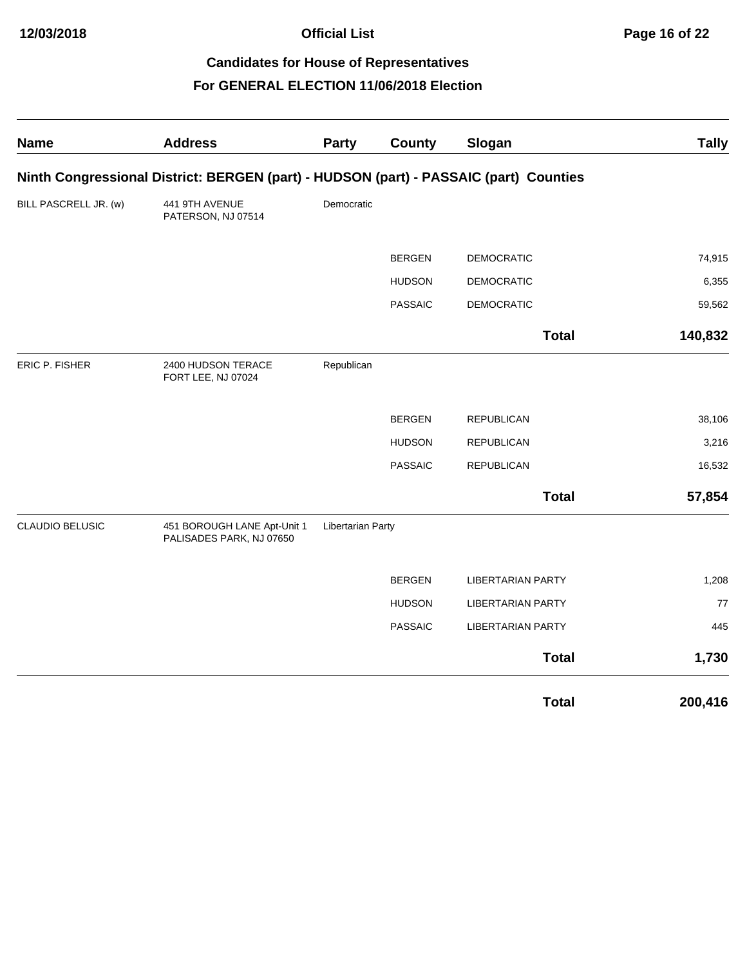| <b>Name</b>           | <b>Address</b>                                                                        | <b>Party</b>      | County         | Slogan                   | <b>Tally</b> |
|-----------------------|---------------------------------------------------------------------------------------|-------------------|----------------|--------------------------|--------------|
|                       | Ninth Congressional District: BERGEN (part) - HUDSON (part) - PASSAIC (part) Counties |                   |                |                          |              |
| BILL PASCRELL JR. (w) | 441 9TH AVENUE<br>PATERSON, NJ 07514                                                  | Democratic        |                |                          |              |
|                       |                                                                                       |                   | <b>BERGEN</b>  | <b>DEMOCRATIC</b>        | 74,915       |
|                       |                                                                                       |                   | <b>HUDSON</b>  | <b>DEMOCRATIC</b>        | 6,355        |
|                       |                                                                                       |                   | <b>PASSAIC</b> | <b>DEMOCRATIC</b>        | 59,562       |
|                       |                                                                                       |                   |                | <b>Total</b>             | 140,832      |
| <b>ERIC P. FISHER</b> | 2400 HUDSON TERACE<br>FORT LEE, NJ 07024                                              | Republican        |                |                          |              |
|                       |                                                                                       |                   | <b>BERGEN</b>  | <b>REPUBLICAN</b>        | 38,106       |
|                       |                                                                                       |                   | <b>HUDSON</b>  | <b>REPUBLICAN</b>        | 3,216        |
|                       |                                                                                       |                   | <b>PASSAIC</b> | <b>REPUBLICAN</b>        | 16,532       |
|                       |                                                                                       |                   |                | <b>Total</b>             | 57,854       |
| CLAUDIO BELUSIC       | 451 BOROUGH LANE Apt-Unit 1<br>PALISADES PARK, NJ 07650                               | Libertarian Party |                |                          |              |
|                       |                                                                                       |                   | <b>BERGEN</b>  | <b>LIBERTARIAN PARTY</b> | 1,208        |
|                       |                                                                                       |                   | <b>HUDSON</b>  | <b>LIBERTARIAN PARTY</b> | $77$         |
|                       |                                                                                       |                   | <b>PASSAIC</b> | <b>LIBERTARIAN PARTY</b> | 445          |
|                       |                                                                                       |                   |                | <b>Total</b>             | 1,730        |
|                       |                                                                                       |                   |                | <b>Total</b>             | 200,416      |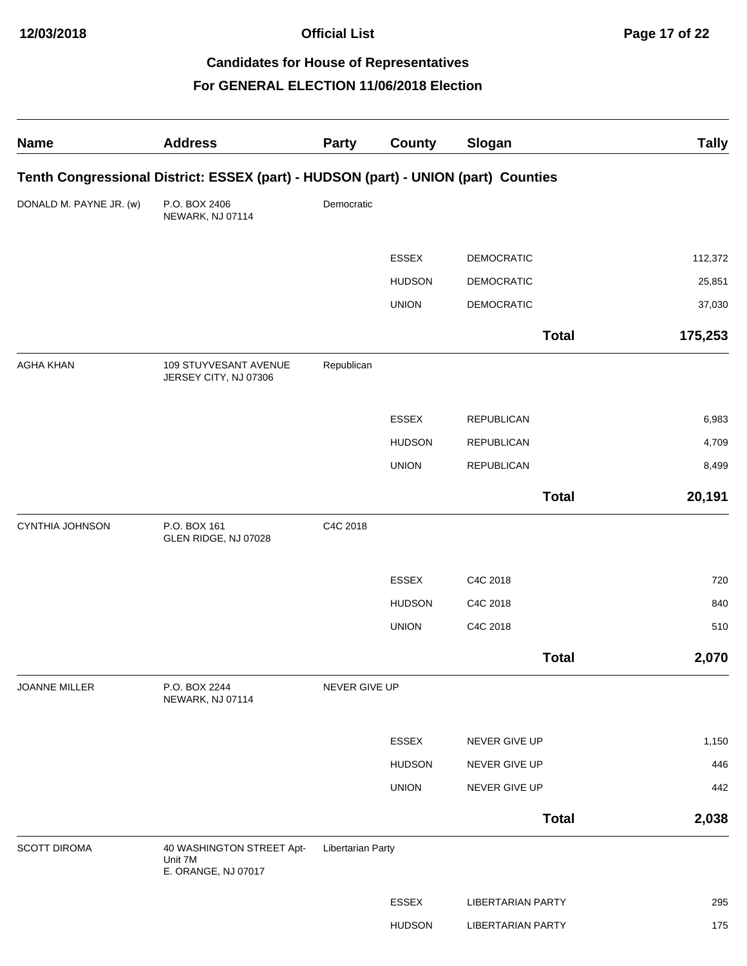| <b>Name</b>             | <b>Address</b>                                                                     | Party             | <b>County</b> | Slogan                   | <b>Tally</b> |
|-------------------------|------------------------------------------------------------------------------------|-------------------|---------------|--------------------------|--------------|
|                         | Tenth Congressional District: ESSEX (part) - HUDSON (part) - UNION (part) Counties |                   |               |                          |              |
| DONALD M. PAYNE JR. (w) | P.O. BOX 2406<br>NEWARK, NJ 07114                                                  | Democratic        |               |                          |              |
|                         |                                                                                    |                   | <b>ESSEX</b>  | <b>DEMOCRATIC</b>        | 112,372      |
|                         |                                                                                    |                   | <b>HUDSON</b> | <b>DEMOCRATIC</b>        | 25,851       |
|                         |                                                                                    |                   | <b>UNION</b>  | <b>DEMOCRATIC</b>        | 37,030       |
|                         |                                                                                    |                   |               | <b>Total</b>             | 175,253      |
| <b>AGHA KHAN</b>        | 109 STUYVESANT AVENUE<br>JERSEY CITY, NJ 07306                                     | Republican        |               |                          |              |
|                         |                                                                                    |                   | <b>ESSEX</b>  | <b>REPUBLICAN</b>        | 6,983        |
|                         |                                                                                    |                   | <b>HUDSON</b> | <b>REPUBLICAN</b>        | 4,709        |
|                         |                                                                                    |                   | <b>UNION</b>  | <b>REPUBLICAN</b>        | 8,499        |
|                         |                                                                                    |                   |               | <b>Total</b>             | 20,191       |
| CYNTHIA JOHNSON         | P.O. BOX 161<br>GLEN RIDGE, NJ 07028                                               | C4C 2018          |               |                          |              |
|                         |                                                                                    |                   | <b>ESSEX</b>  | C4C 2018                 | 720          |
|                         |                                                                                    |                   | <b>HUDSON</b> | C4C 2018                 | 840          |
|                         |                                                                                    |                   | <b>UNION</b>  | C4C 2018                 | 510          |
|                         |                                                                                    |                   |               | <b>Total</b>             | 2,070        |
| JOANNE MILLER           | P.O. BOX 2244<br>NEWARK, NJ 07114                                                  | NEVER GIVE UP     |               |                          |              |
|                         |                                                                                    |                   | ESSEX         | NEVER GIVE UP            | 1,150        |
|                         |                                                                                    |                   | <b>HUDSON</b> | NEVER GIVE UP            | 446          |
|                         |                                                                                    |                   | <b>UNION</b>  | NEVER GIVE UP            | 442          |
|                         |                                                                                    |                   |               | <b>Total</b>             | 2,038        |
| <b>SCOTT DIROMA</b>     | 40 WASHINGTON STREET Apt-<br>Unit 7M<br>E. ORANGE, NJ 07017                        | Libertarian Party |               |                          |              |
|                         |                                                                                    |                   | ESSEX         | <b>LIBERTARIAN PARTY</b> | 295          |
|                         |                                                                                    |                   | <b>HUDSON</b> | <b>LIBERTARIAN PARTY</b> | 175          |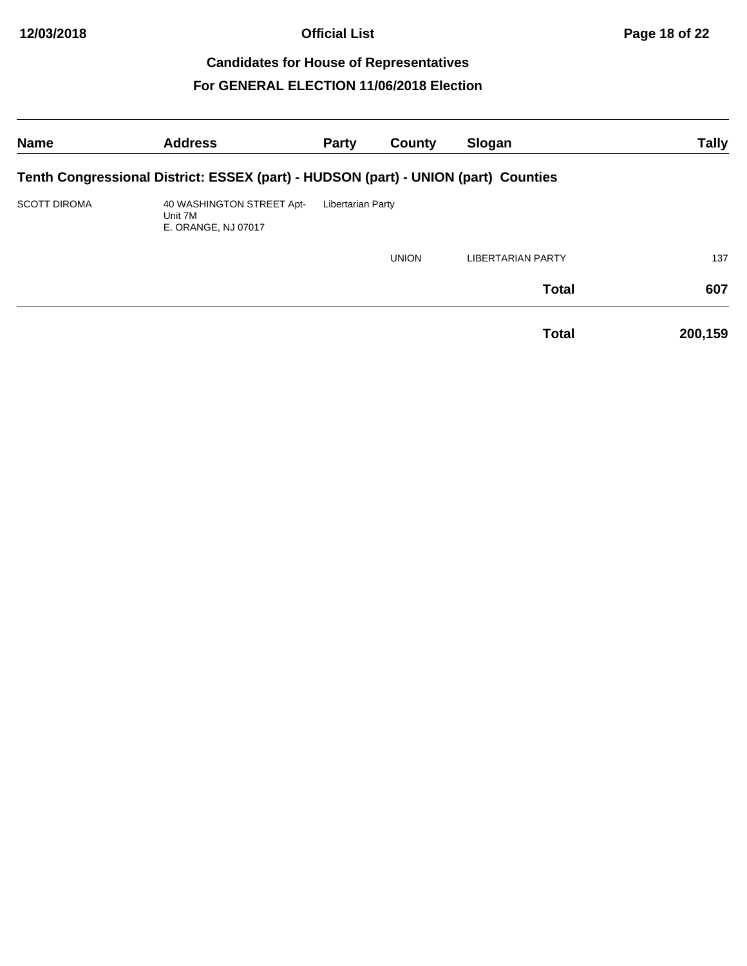| <b>Name</b>         | <b>Address</b>                                                                     | <b>Party</b>      | County       | Slogan                   | <b>Tally</b> |
|---------------------|------------------------------------------------------------------------------------|-------------------|--------------|--------------------------|--------------|
|                     | Tenth Congressional District: ESSEX (part) - HUDSON (part) - UNION (part) Counties |                   |              |                          |              |
| <b>SCOTT DIROMA</b> | 40 WASHINGTON STREET Apt-<br>Unit 7M<br>E. ORANGE, NJ 07017                        | Libertarian Party |              |                          |              |
|                     |                                                                                    |                   | <b>UNION</b> | <b>LIBERTARIAN PARTY</b> | 137          |
|                     |                                                                                    |                   |              | <b>Total</b>             | 607          |
|                     |                                                                                    |                   |              | <b>Total</b>             | 200,159      |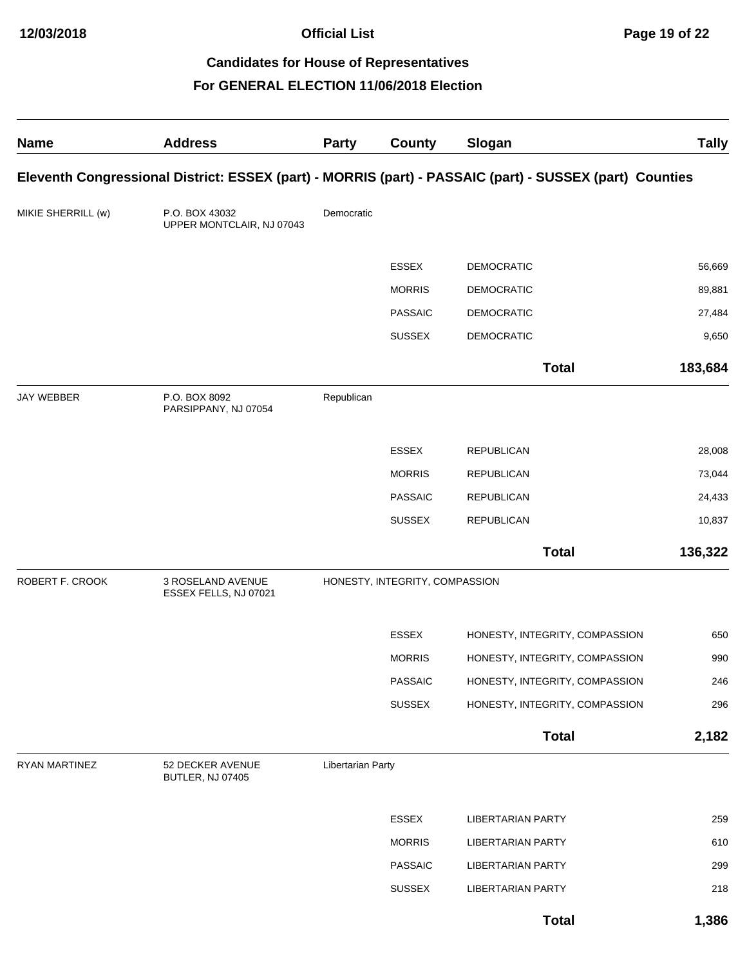| <b>Name</b>        | <b>Address</b>                              | <b>Party</b>      | <b>County</b>                  | Slogan                                                                                                  | <b>Tally</b> |
|--------------------|---------------------------------------------|-------------------|--------------------------------|---------------------------------------------------------------------------------------------------------|--------------|
|                    |                                             |                   |                                | Eleventh Congressional District: ESSEX (part) - MORRIS (part) - PASSAIC (part) - SUSSEX (part) Counties |              |
| MIKIE SHERRILL (w) | P.O. BOX 43032<br>UPPER MONTCLAIR, NJ 07043 | Democratic        |                                |                                                                                                         |              |
|                    |                                             |                   | <b>ESSEX</b>                   | <b>DEMOCRATIC</b>                                                                                       | 56,669       |
|                    |                                             |                   | <b>MORRIS</b>                  | <b>DEMOCRATIC</b>                                                                                       | 89,881       |
|                    |                                             |                   | <b>PASSAIC</b>                 | <b>DEMOCRATIC</b>                                                                                       | 27,484       |
|                    |                                             |                   | <b>SUSSEX</b>                  | <b>DEMOCRATIC</b>                                                                                       | 9,650        |
|                    |                                             |                   |                                | <b>Total</b>                                                                                            | 183,684      |
| <b>JAY WEBBER</b>  | P.O. BOX 8092<br>PARSIPPANY, NJ 07054       | Republican        |                                |                                                                                                         |              |
|                    |                                             |                   | <b>ESSEX</b>                   | <b>REPUBLICAN</b>                                                                                       | 28,008       |
|                    |                                             |                   | <b>MORRIS</b>                  | <b>REPUBLICAN</b>                                                                                       | 73,044       |
|                    |                                             |                   | <b>PASSAIC</b>                 | <b>REPUBLICAN</b>                                                                                       | 24,433       |
|                    |                                             |                   | <b>SUSSEX</b>                  | <b>REPUBLICAN</b>                                                                                       | 10,837       |
|                    |                                             |                   |                                | <b>Total</b>                                                                                            | 136,322      |
| ROBERT F. CROOK    | 3 ROSELAND AVENUE<br>ESSEX FELLS, NJ 07021  |                   | HONESTY, INTEGRITY, COMPASSION |                                                                                                         |              |
|                    |                                             |                   | ESSEX                          | HONESTY, INTEGRITY, COMPASSION                                                                          | 650          |
|                    |                                             |                   | <b>MORRIS</b>                  | HONESTY, INTEGRITY, COMPASSION                                                                          | 990          |
|                    |                                             |                   | PASSAIC                        | HONESTY, INTEGRITY, COMPASSION                                                                          | 246          |
|                    |                                             |                   | <b>SUSSEX</b>                  | HONESTY, INTEGRITY, COMPASSION                                                                          | 296          |
|                    |                                             |                   |                                | <b>Total</b>                                                                                            | 2,182        |
| RYAN MARTINEZ      | 52 DECKER AVENUE<br>BUTLER, NJ 07405        | Libertarian Party |                                |                                                                                                         |              |
|                    |                                             |                   | <b>ESSEX</b>                   | <b>LIBERTARIAN PARTY</b>                                                                                | 259          |
|                    |                                             |                   | <b>MORRIS</b>                  | <b>LIBERTARIAN PARTY</b>                                                                                | 610          |
|                    |                                             |                   | <b>PASSAIC</b>                 | <b>LIBERTARIAN PARTY</b>                                                                                | 299          |
|                    |                                             |                   | <b>SUSSEX</b>                  | <b>LIBERTARIAN PARTY</b>                                                                                | 218          |
|                    |                                             |                   |                                | <b>Total</b>                                                                                            | 1,386        |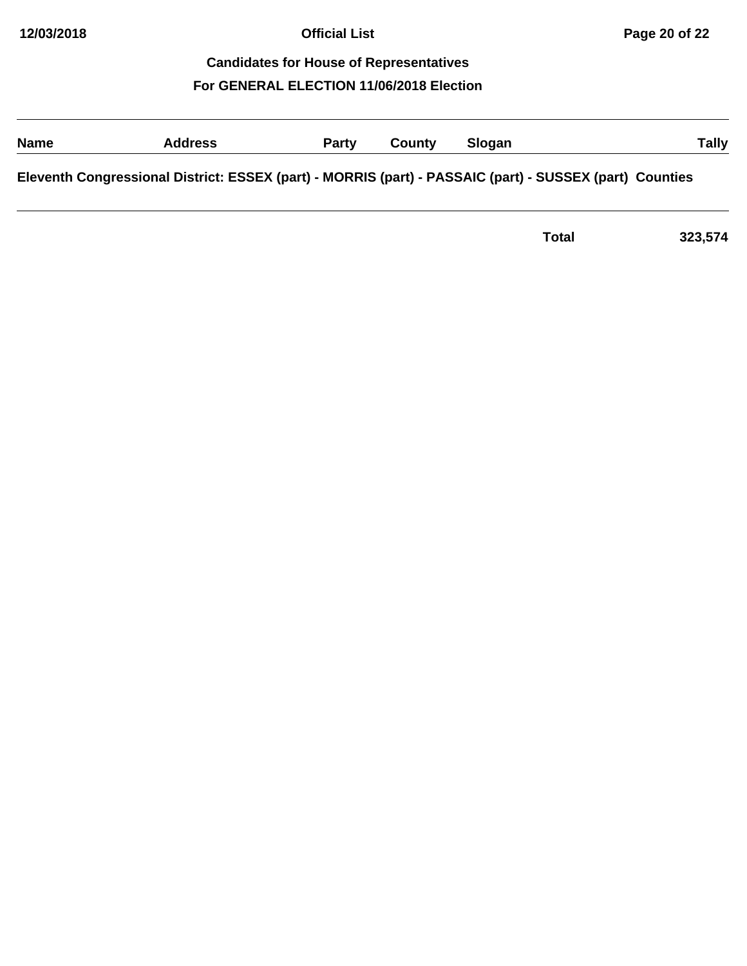# **Name Address Party County Slogan Tally Eleventh Congressional District: ESSEX (part) - MORRIS (part) - PASSAIC (part) - SUSSEX (part) Counties**

| Total | 323,574 |
|-------|---------|
|       |         |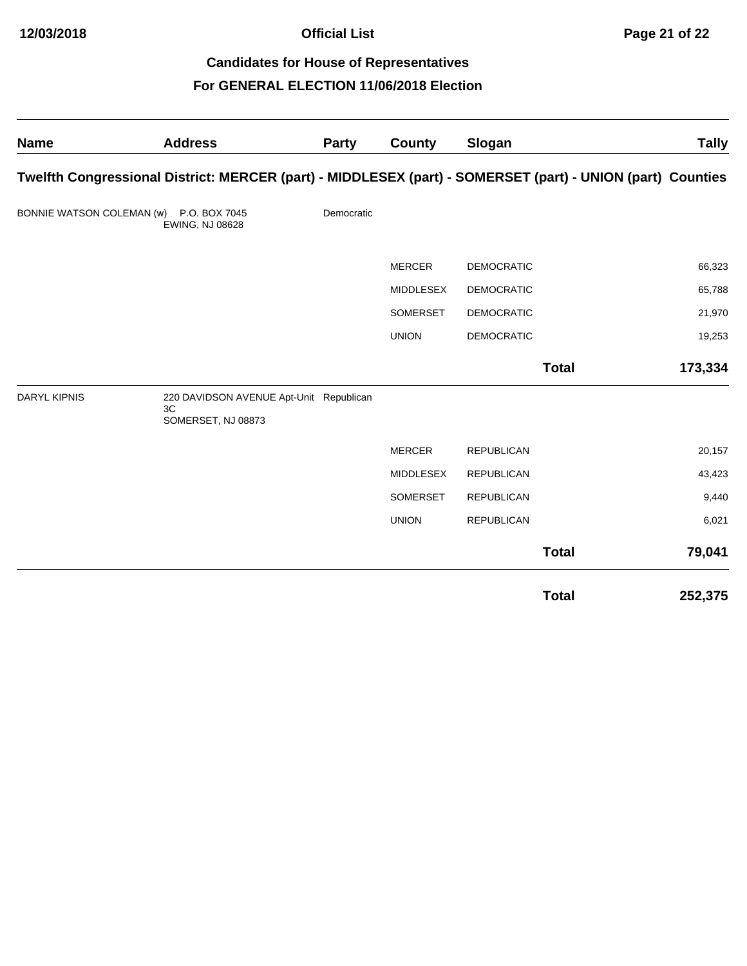**Official List Page 21 of 22**

# **Candidates for House of Representatives For GENERAL ELECTION 11/06/2018 Election**

| <b>Name</b>               | <b>Address</b>                                                                                             | <b>Party</b> | County           | Slogan            |              | <b>Tally</b> |
|---------------------------|------------------------------------------------------------------------------------------------------------|--------------|------------------|-------------------|--------------|--------------|
|                           | Twelfth Congressional District: MERCER (part) - MIDDLESEX (part) - SOMERSET (part) - UNION (part) Counties |              |                  |                   |              |              |
| BONNIE WATSON COLEMAN (w) | P.O. BOX 7045<br>EWING, NJ 08628                                                                           | Democratic   |                  |                   |              |              |
|                           |                                                                                                            |              | <b>MERCER</b>    | <b>DEMOCRATIC</b> |              | 66,323       |
|                           |                                                                                                            |              | MIDDLESEX        | <b>DEMOCRATIC</b> |              | 65,788       |
|                           |                                                                                                            |              | SOMERSET         | <b>DEMOCRATIC</b> |              | 21,970       |
|                           |                                                                                                            |              | <b>UNION</b>     | <b>DEMOCRATIC</b> |              | 19,253       |
|                           |                                                                                                            |              |                  |                   | <b>Total</b> | 173,334      |
| <b>DARYL KIPNIS</b>       | 220 DAVIDSON AVENUE Apt-Unit Republican<br>3C<br>SOMERSET, NJ 08873                                        |              |                  |                   |              |              |
|                           |                                                                                                            |              | <b>MERCER</b>    | <b>REPUBLICAN</b> |              | 20,157       |
|                           |                                                                                                            |              | <b>MIDDLESEX</b> | <b>REPUBLICAN</b> |              | 43,423       |
|                           |                                                                                                            |              | SOMERSET         | <b>REPUBLICAN</b> |              | 9,440        |
|                           |                                                                                                            |              | <b>UNION</b>     | <b>REPUBLICAN</b> |              | 6,021        |
|                           |                                                                                                            |              |                  |                   | <b>Total</b> | 79,041       |
|                           |                                                                                                            |              |                  |                   | <b>Total</b> | 252,375      |